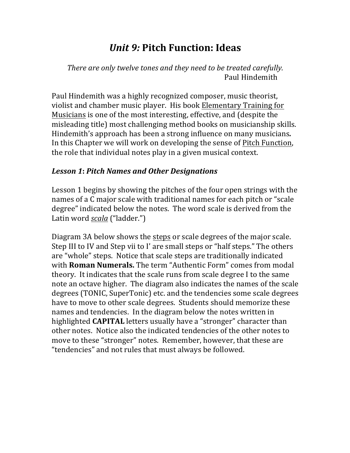# *Unit 9:* **Pitch Function: Ideas**

There are only twelve tones and they need to be treated carefully. Paul Hindemith

Paul Hindemith was a highly recognized composer, music theorist, violist and chamber music player. His book Elementary Training for Musicians is one of the most interesting, effective, and (despite the misleading title) most challenging method books on musicianship skills. Hindemith's approach has been a strong influence on many musicians. In this Chapter we will work on developing the sense of Pitch Function, the role that individual notes play in a given musical context.

#### **Lesson 1: Pitch Names and Other Designations**

Lesson 1 begins by showing the pitches of the four open strings with the names of a C major scale with traditional names for each pitch or "scale degree" indicated below the notes. The word scale is derived from the Latin word *scala* ("ladder.")

Diagram 3A below shows the steps or scale degrees of the major scale. Step III to IV and Step vii to I' are small steps or "half steps." The others are "whole" steps. Notice that scale steps are traditionally indicated with **Roman Numerals.** The term "Authentic Form" comes from modal theory. It indicates that the scale runs from scale degree I to the same note an octave higher. The diagram also indicates the names of the scale degrees (TONIC, SuperTonic) etc. and the tendencies some scale degrees have to move to other scale degrees. Students should memorize these names and tendencies. In the diagram below the notes written in highlighted **CAPITAL** letters usually have a "stronger" character than other notes. Notice also the indicated tendencies of the other notes to move to these "stronger" notes. Remember, however, that these are "tendencies" and not rules that must always be followed.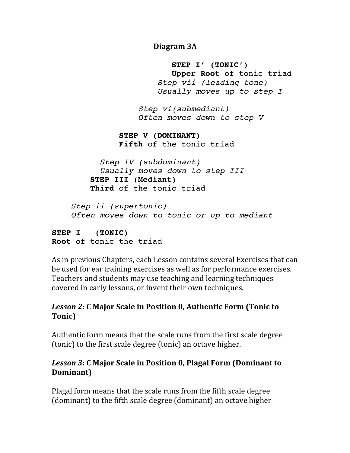**Diagram 3A**

 **STEP I' (TONIC') Upper Root** of tonic triad *Step vii (leading tone) Usually moves up to step I*

 *Step vi(submediant) Often moves down to step V*

 **STEP V (DOMINANT) Fifth** of the tonic triad

 *Step IV (subdominant) Usually moves down to step III* **STEP III** (**Mediant) Third** of the tonic triad

 *Step ii (supertonic) Often moves down to tonic or up to mediant*

**STEP I (TONIC) Root** of tonic the triad

As in previous Chapters, each Lesson contains several Exercises that can be used for ear training exercises as well as for performance exercises. Teachers and students may use teaching and learning techniques covered in early lessons, or invent their own techniques.

### Lesson 2: C Major Scale in Position 0, Authentic Form (Tonic to **Tonic)**

Authentic form means that the scale runs from the first scale degree (tonic) to the first scale degree (tonic) an octave higher.

# *Lesson 3:* **C Major Scale in Position 0, Plagal Form (Dominant to) Dominant)**

Plagal form means that the scale runs from the fifth scale degree (dominant) to the fifth scale degree (dominant) an octave higher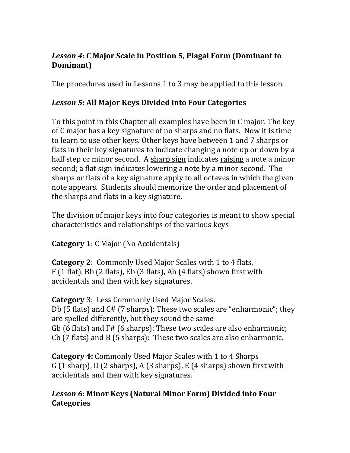# Lesson 4: C Major Scale in Position 5, Plagal Form (Dominant to **Dominant)**

The procedures used in Lessons  $1$  to  $3$  may be applied to this lesson.

# Lesson 5: All Major Keys Divided into Four Categories

To this point in this Chapter all examples have been in C major. The key of C major has a key signature of no sharps and no flats. Now it is time to learn to use other keys. Other keys have between 1 and 7 sharps or flats in their key signatures to indicate changing a note up or down by a half step or minor second. A sharp sign indicates raising a note a minor second; a flat sign indicates lowering a note by a minor second. The sharps or flats of a key signature apply to all octaves in which the given note appears. Students should memorize the order and placement of the sharps and flats in a key signature.

The division of major keys into four categories is meant to show special characteristics and relationships of the various keys

**Category 1**: C Major (No Accidentals)

**Category 2:** Commonly Used Major Scales with 1 to 4 flats.  $F(1$  flat), Bb $(2$  flats), Eb $(3$  flats), Ab $(4$  flats) shown first with accidentals and then with key signatures.

**Category 3:** Less Commonly Used Major Scales. Db (5 flats) and  $C#$  (7 sharps): These two scales are "enharmonic"; they are spelled differently, but they sound the same Gb  $(6$  flats) and  $FH$   $(6$  sharps): These two scales are also enharmonic; Cb  $(7$  flats) and  $B$   $(5$  sharps): These two scales are also enharmonic.

**Category 4:** Commonly Used Major Scales with 1 to 4 Sharps G (1 sharp), D (2 sharps), A (3 sharps), E (4 sharps) shown first with accidentals and then with key signatures.

### Lesson 6: Minor Keys (Natural Minor Form) Divided into Four **Categories**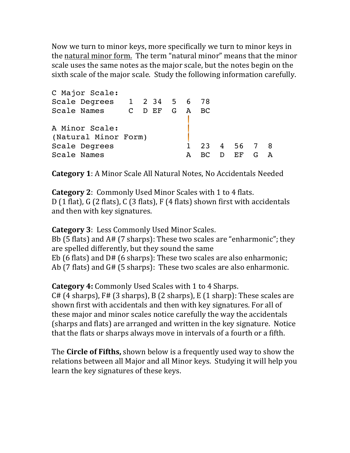Now we turn to minor keys, more specifically we turn to minor keys in the natural minor form. The term "natural minor" means that the minor scale uses the same notes as the major scale, but the notes begin on the sixth scale of the major scale. Study the following information carefully.

| C Major Scale:               |  |  |   |     |        |             |    |   |
|------------------------------|--|--|---|-----|--------|-------------|----|---|
| Scale Degrees 1 2 34 5 6     |  |  |   | -78 |        |             |    |   |
| Scale Names<br>C D EF G A BC |  |  |   |     |        |             |    |   |
|                              |  |  |   |     |        |             |    |   |
| A Minor Scale:               |  |  |   |     |        |             |    |   |
| (Natural Minor Form)         |  |  |   |     |        |             |    |   |
| Scale Degrees                |  |  |   |     |        | 23 4 56 7 8 |    |   |
| Scale Names                  |  |  | A | BC. | $\Box$ | <b>EF</b>   | G. | A |
|                              |  |  |   |     |        |             |    |   |

**Category 1:** A Minor Scale All Natural Notes, No Accidentals Needed

**Category 2:** Commonly Used Minor Scales with 1 to 4 flats. D  $(1$  flat), G  $(2$  flats), C  $(3$  flats), F  $(4$  flats) shown first with accidentals and then with key signatures.

**Category 3:** Less Commonly Used Minor Scales. Bb (5 flats) and  $A#$  (7 sharps): These two scales are "enharmonic"; they are spelled differently, but they sound the same Eb  $(6$  flats) and  $D# (6$  sharps): These two scales are also enharmonic; Ab  $(7$  flats) and  $G# (5 \text{ sharps})$ : These two scales are also enharmonic.

**Category 4:** Commonly Used Scales with 1 to 4 Sharps.

 $C#$  (4 sharps),  $F#$  (3 sharps), B (2 sharps), E (1 sharp): These scales are shown first with accidentals and then with key signatures. For all of these major and minor scales notice carefully the way the accidentals (sharps and flats) are arranged and written in the key signature. Notice that the flats or sharps always move in intervals of a fourth or a fifth.

The **Circle of Fifths**, shown below is a frequently used way to show the relations between all Major and all Minor keys. Studying it will help you learn the key signatures of these keys.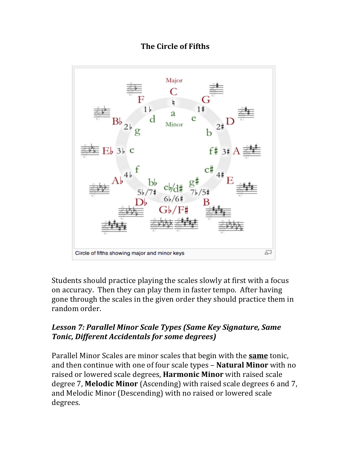### **The Circle of Fifths**



Students should practice playing the scales slowly at first with a focus on accuracy. Then they can play them in faster tempo. After having gone through the scales in the given order they should practice them in random order.

# Lesson 7: Parallel Minor Scale Types (Same Key Signature, Same *Tonic, Different Accidentals for some degrees)*

Parallel Minor Scales are minor scales that begin with the **same** tonic, and then continue with one of four scale types – **Natural Minor** with no raised or lowered scale degrees, **Harmonic Minor** with raised scale degree 7, **Melodic Minor** (Ascending) with raised scale degrees 6 and 7, and Melodic Minor (Descending) with no raised or lowered scale degrees.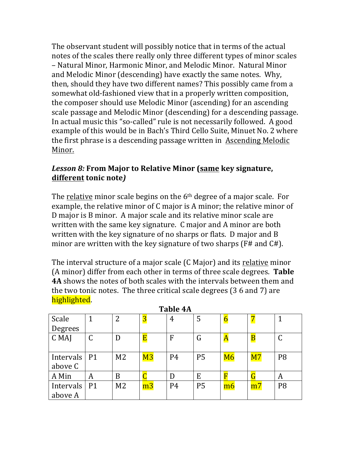The observant student will possibly notice that in terms of the actual notes of the scales there really only three different types of minor scales – Natural Minor, Harmonic Minor, and Melodic Minor. Natural Minor and Melodic Minor (descending) have exactly the same notes. Why, then, should they have two different names? This possibly came from a somewhat old-fashioned view that in a properly written composition, the composer should use Melodic Minor (ascending) for an ascending scale passage and Melodic Minor (descending) for a descending passage. In actual music this "so-called" rule is not necessarily followed. A good example of this would be in Bach's Third Cello Suite, Minuet No. 2 where the first phrase is a descending passage written in Ascending Melodic Minor. 

# *Lesson 8:* **From Major to Relative Minor (same key signature, different tonic note***)*

The relative minor scale begins on the  $6<sup>th</sup>$  degree of a major scale. For example, the relative minor of C major is A minor; the relative minor of D major is B minor. A major scale and its relative minor scale are written with the same key signature.  $C$  major and  $A$  minor are both written with the key signature of no sharps or flats. D major and  $B$ minor are written with the key signature of two sharps ( $F#$  and  $C#$ ).

The interval structure of a major scale (C Major) and its relative minor (A minor) differ from each other in terms of three scale degrees. **Table 4A** shows the notes of both scales with the intervals between them and the two tonic notes. The three critical scale degrees  $(36 \text{ and } 7)$  are highlighted.

| Scale          | 1             | $\overline{2}$ | $\overline{\mathbf{3}}$ | 4              | 5              |                         |                         |                |
|----------------|---------------|----------------|-------------------------|----------------|----------------|-------------------------|-------------------------|----------------|
| Degrees        |               |                |                         |                |                |                         |                         |                |
| C MAJ          | $\mathcal{C}$ | D              | $\overline{\mathbf{E}}$ | F              | G              | $\overline{A}$          | $\overline{\mathbf{B}}$ | C              |
|                |               |                |                         |                |                |                         |                         |                |
| Intervals   P1 |               | M <sub>2</sub> | M <sub>3</sub>          | P <sub>4</sub> | P <sub>5</sub> | M6                      | M <sub>7</sub>          | P <sub>8</sub> |
| above C        |               |                |                         |                |                |                         |                         |                |
| A Min          | A             | B              |                         | D              | E              | $\overline{\mathrm{F}}$ | G                       | A              |
| Intervals      | P1            | M <sub>2</sub> | m3                      | P <sub>4</sub> | <b>P5</b>      | m6                      | m7                      | P <sub>8</sub> |
| above A        |               |                |                         |                |                |                         |                         |                |

Table 4A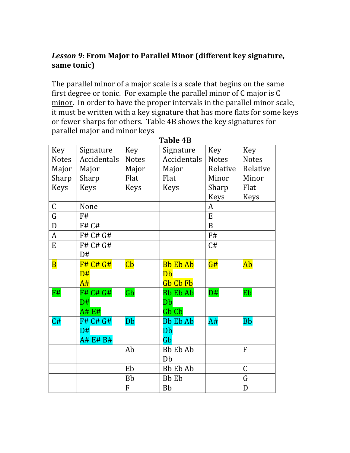# Lesson 9: From Major to Parallel Minor (different key signature, same tonic)

The parallel minor of a major scale is a scale that begins on the same first degree or tonic. For example the parallel minor of  $C$  major is  $C$ minor. In order to have the proper intervals in the parallel minor scale, it must be written with a key signature that has more flats for some keys or fewer sharps for others. Table 4B shows the key signatures for parallel major and minor keys

| Key                     | Signature        | Key                    | Signature                         | Key          | Key          |
|-------------------------|------------------|------------------------|-----------------------------------|--------------|--------------|
| <b>Notes</b>            | Accidentals      | <b>Notes</b>           | Accidentals                       | <b>Notes</b> | <b>Notes</b> |
| Major                   | Major            | Major                  | Major                             | Relative     | Relative     |
| Sharp                   | Sharp            | Flat                   | Flat                              | Minor        | Minor        |
| <b>Keys</b>             | <b>Keys</b>      | <b>Keys</b>            | <b>Keys</b>                       | Sharp        | Flat         |
|                         |                  |                        |                                   | <b>Keys</b>  | <b>Keys</b>  |
| $\mathsf C$             | None             |                        |                                   | A            |              |
| $\mathsf G$             | F#               |                        |                                   | ${\bf E}$    |              |
| $\mathbf D$             | <b>F# C#</b>     |                        |                                   | B            |              |
| A                       | F# C# G#         |                        |                                   | F#           |              |
| E                       | F# C# G#         |                        |                                   | C#           |              |
|                         | D#               |                        |                                   |              |              |
| $\overline{\mathbf{B}}$ | <b>F# C# G#</b>  | $\overline{\text{Cb}}$ | <b>Bb Eb Ab</b>                   | G#           | <u>Ab</u>    |
|                         | D#               |                        | Db                                |              |              |
|                         | A#               |                        | Gb Cb Fb                          |              |              |
| F#                      | F# C# G#         | $\overline{G}$         | <b>Bb</b> Eb Ab                   | D#           | Eb           |
|                         | $\overline{D}$ # |                        | $\overline{\mathbf{D}}\mathbf{b}$ |              |              |
|                         | <b>A# E#</b>     |                        | Gb Cb                             |              |              |
| C#                      | F# C# G#         | Db                     | <b>Bb Eb Ab</b>                   | A#           | <b>Bb</b>    |
|                         | D#               |                        | Db                                |              |              |
|                         | A# E# B#         |                        | Gb                                |              |              |
|                         |                  | Ab                     | <b>Bb</b> Eb Ab                   |              | F            |
|                         |                  |                        | D <sub>b</sub>                    |              |              |
|                         |                  | Eb                     | <b>Bb</b> Eb Ab                   |              | $\mathsf C$  |
|                         |                  | Bb                     | Bb Eb                             |              | G            |
|                         |                  | F                      | <b>Bb</b>                         |              | D            |

Table 4R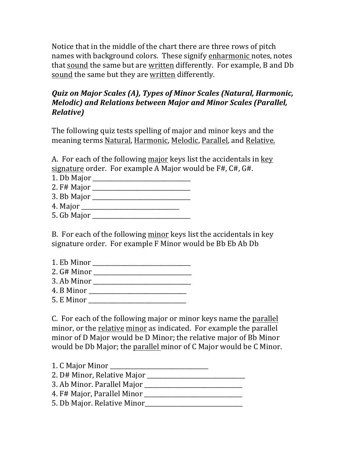Notice that in the middle of the chart there are three rows of pitch names with background colors. These signify enharmonic notes, notes that sound the same but are written differently. For example, B and Db sound the same but they are written differently.

# *Quiz* on Major Scales (A), Types of Minor Scales (Natural, Harmonic, *Melodic)* and Relations between Major and Minor Scales (Parallel, *Relative)*

The following quiz tests spelling of major and minor keys and the meaning terms Natural, Harmonic, Melodic, Parallel, and Relative.

A. For each of the following major keys list the accidentals in key signature order. For example A Major would be  $F#$ ,  $F#$ ,  $F#$ .

1. Db Major \_\_\_\_\_\_\_\_\_\_\_\_\_\_\_\_\_\_\_\_\_\_\_\_\_\_\_\_\_\_\_\_\_

2. F# Major \_\_\_\_\_\_\_\_\_\_\_\_\_\_\_\_\_\_\_\_\_\_\_\_\_\_\_\_\_\_\_\_\_

3. Bb Major \_\_\_\_\_\_\_\_\_\_\_\_\_\_\_\_\_\_\_\_\_\_\_\_\_\_\_\_\_\_\_\_\_

4. Major \_\_\_\_\_\_\_\_\_\_\_\_\_\_\_\_\_\_\_\_\_\_\_\_\_\_\_\_\_\_\_\_\_

5. Gb Major \_\_\_\_\_\_\_\_\_\_\_\_\_\_\_\_\_\_\_\_\_\_\_\_\_\_\_\_\_\_\_\_\_

B. For each of the following minor keys list the accidentals in key signature order. For example F Minor would be Bb Eb Ab Db

- 1. Eb Minor \_\_\_\_\_\_\_\_\_\_\_\_\_\_\_\_\_\_\_\_\_\_\_\_\_\_\_\_\_\_\_\_\_
- 2. G# Minor \_\_\_\_\_\_\_\_\_\_\_\_\_\_\_\_\_\_\_\_\_\_\_\_\_\_\_\_\_\_\_\_\_
- 3. Ab Minor \_\_\_\_\_\_\_\_\_\_\_\_\_\_\_\_\_\_\_\_\_\_\_\_\_\_\_\_\_\_\_\_\_
- 4. B Minor \_\_\_\_\_\_\_\_\_\_\_\_\_\_\_\_\_\_\_\_\_\_\_\_\_\_\_\_\_\_\_\_\_
- 5. E Minor \_\_\_\_\_\_\_\_\_\_\_\_\_\_\_\_\_\_\_\_\_\_\_\_\_\_\_\_\_\_\_\_\_

C. For each of the following major or minor keys name the parallel minor, or the relative minor as indicated. For example the parallel minor of D Major would be D Minor; the relative major of Bb Minor would be Db Major; the parallel minor of C Major would be C Minor.

1. C Major Minor \_\_\_\_\_\_\_\_\_\_\_\_\_\_\_\_\_\_\_\_\_\_\_\_\_\_\_\_\_\_\_\_\_ 2. D# Minor, Relative Major 3. Ab Minor. Parallel Major \_\_\_\_\_\_\_\_\_\_\_\_\_\_\_\_\_\_\_\_\_\_\_\_\_\_\_\_\_\_\_\_\_ 4. F# Major, Parallel Minor \_\_\_\_\_\_\_\_\_\_\_\_\_\_\_\_\_\_\_\_\_\_\_\_\_\_\_\_\_\_\_\_\_ 5. Db Major. Relative Minor\_\_\_\_\_\_\_\_\_\_\_\_\_\_\_\_\_\_\_\_\_\_\_\_\_\_\_\_\_\_\_\_\_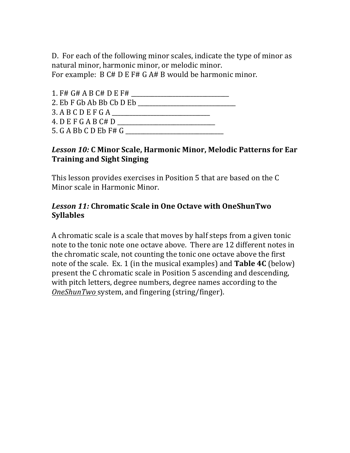D. For each of the following minor scales, indicate the type of minor as natural minor, harmonic minor, or melodic minor. For example: B C# D E F# G A# B would be harmonic minor.

1. F# G# A B C# D E F# \_\_\_\_\_\_\_\_\_\_\_\_\_\_\_\_\_\_\_\_\_\_\_\_\_\_\_\_\_\_\_\_\_ 2. Eb F Gb Ab Bb Cb D Eb \_\_\_\_\_\_\_\_\_\_\_\_\_\_\_\_\_\_\_\_\_\_\_\_\_\_\_\_\_\_\_\_\_  $\begin{array}{l} \textbf{3. A B C D E F G A} \end{array}$ 4. D E F G A B C# D \_\_\_\_\_\_\_\_\_\_\_\_\_\_\_\_\_\_\_\_\_\_\_\_\_\_\_\_\_\_\_\_\_ 5. G A Bb C D Eb F# G

#### Lesson 10: C Minor Scale, Harmonic Minor, Melodic Patterns for Ear **Training and Sight Singing**

This lesson provides exercises in Position 5 that are based on the C Minor scale in Harmonic Minor.

#### Lesson 11: Chromatic Scale in One Octave with OneShunTwo **Syllables**

A chromatic scale is a scale that moves by half steps from a given tonic note to the tonic note one octave above. There are 12 different notes in the chromatic scale, not counting the tonic one octave above the first note of the scale. Ex. 1 (in the musical examples) and **Table 4C** (below) present the C chromatic scale in Position 5 ascending and descending, with pitch letters, degree numbers, degree names according to the **OneShunTwo** system, and fingering (string/finger).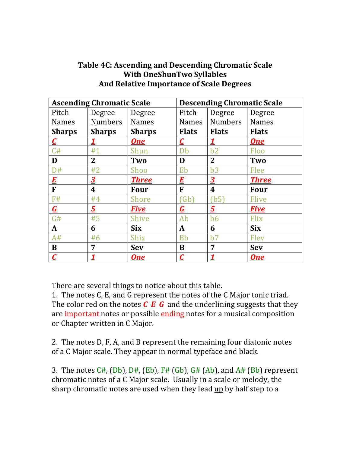### Table 4C: Ascending and Descending Chromatic Scale **With OneShunTwo Syllables** And Relative Importance of Scale Degrees

| <b>Ascending Chromatic Scale</b> |                |               | <b>Descending Chromatic Scale</b> |                         |              |  |  |
|----------------------------------|----------------|---------------|-----------------------------------|-------------------------|--------------|--|--|
| Pitch                            | Degree         | Degree        | Pitch                             | Degree                  | Degree       |  |  |
| <b>Names</b>                     | <b>Numbers</b> | <b>Names</b>  | Names                             | <b>Numbers</b>          | <b>Names</b> |  |  |
| <b>Sharps</b>                    | <b>Sharps</b>  | <b>Sharps</b> | <b>Flats</b>                      | <b>Flats</b>            | <b>Flats</b> |  |  |
| $\boldsymbol{\mathcal{C}}$       |                | <b>One</b>    | $\boldsymbol{C}$                  | 1                       | <b>One</b>   |  |  |
| C#                               | #1             | Shun          | Db                                | b2                      | Floo         |  |  |
| D                                | $\overline{2}$ | Two           | D                                 | $\overline{2}$          | Two          |  |  |
| D#                               | #2             | Shoo          | Eb                                | b3                      | Flee         |  |  |
| $\boldsymbol{E}$                 | 3              | <b>Three</b>  | E                                 | $\overline{\mathbf{3}}$ | <b>Three</b> |  |  |
| F                                | 4              | Four          | F                                 | $\boldsymbol{4}$        | <b>Four</b>  |  |  |
| F#                               | #4             | Shore         | ርዊዎታ                              | $\overline{AB}$         | <b>Flive</b> |  |  |
| G                                | 5              | <b>Five</b>   | G                                 | 5                       | <b>Five</b>  |  |  |
| G#                               | #5             | <b>Shive</b>  | Ab                                | b6                      | Flix         |  |  |
| A                                | 6              | <b>Six</b>    | A                                 | 6                       | <b>Six</b>   |  |  |
| A#                               | #6             | <b>Shix</b>   | <b>Bb</b>                         | b7                      | Flev         |  |  |
| B                                | 7              | <b>Sev</b>    | B                                 | 7                       | <b>Sev</b>   |  |  |
| $\mathcal{C}$                    |                | <b>One</b>    | $\boldsymbol{C}$                  | 1                       | <b>One</b>   |  |  |

There are several things to notice about this table.

1. The notes C, E, and G represent the notes of the C Major tonic triad. The color red on the notes  $C$   $E$   $G$  and the underlining suggests that they are important notes or possible ending notes for a musical composition or Chapter written in C Major.

2. The notes D, F, A, and B represent the remaining four diatonic notes of a C Major scale. They appear in normal typeface and black.

3. The notes  $C#$ , (Db), D#, (Eb), F# (Gb), G# (Ab), and  $A#$  (Bb) represent chromatic notes of a C Major scale. Usually in a scale or melody, the sharp chromatic notes are used when they lead  $\mathbf{u}$  by half step to a